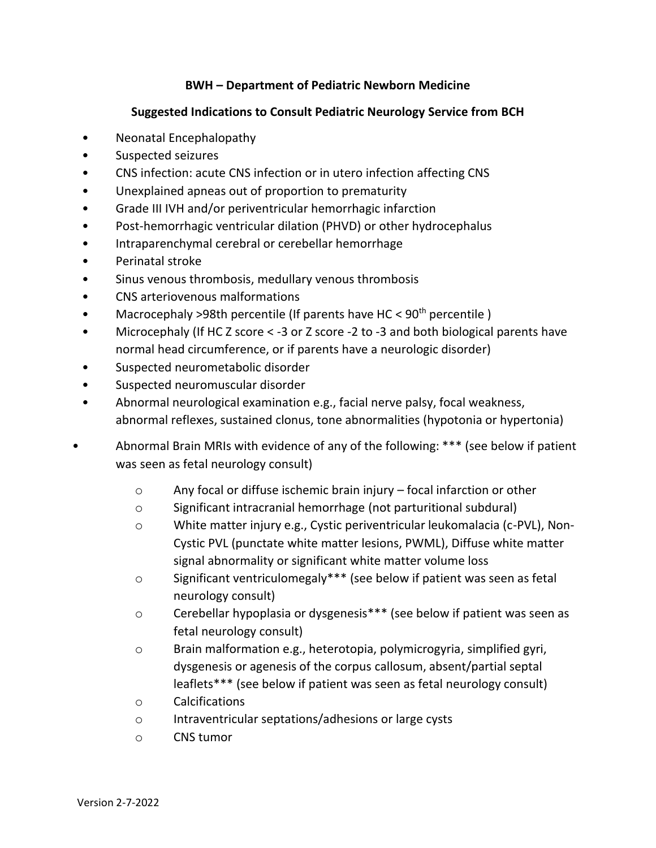## **BWH – Department of Pediatric Newborn Medicine**

## **Suggested Indications to Consult Pediatric Neurology Service from BCH**

- Neonatal Encephalopathy
- Suspected seizures
- CNS infection: acute CNS infection or in utero infection affecting CNS
- Unexplained apneas out of proportion to prematurity
- Grade III IVH and/or periventricular hemorrhagic infarction
- Post-hemorrhagic ventricular dilation (PHVD) or other hydrocephalus
- Intraparenchymal cerebral or cerebellar hemorrhage
- Perinatal stroke
- Sinus venous thrombosis, medullary venous thrombosis
- CNS arteriovenous malformations
- Macrocephaly >98th percentile (If parents have HC <  $90<sup>th</sup>$  percentile)
- Microcephaly (If HC Z score < -3 or Z score -2 to -3 and both biological parents have normal head circumference, or if parents have a neurologic disorder)
- Suspected neurometabolic disorder
- Suspected neuromuscular disorder
- Abnormal neurological examination e.g., facial nerve palsy, focal weakness, abnormal reflexes, sustained clonus, tone abnormalities (hypotonia or hypertonia)
- Abnormal Brain MRIs with evidence of any of the following: \*\*\* (see below if patient was seen as fetal neurology consult)
	- $\circ$  Any focal or diffuse ischemic brain injury focal infarction or other
	- o Significant intracranial hemorrhage (not parturitional subdural)
	- o White matter injury e.g., Cystic periventricular leukomalacia (c-PVL), Non-Cystic PVL (punctate white matter lesions, PWML), Diffuse white matter signal abnormality or significant white matter volume loss
	- o Significant ventriculomegaly\*\*\* (see below if patient was seen as fetal neurology consult)
	- o Cerebellar hypoplasia or dysgenesis\*\*\* (see below if patient was seen as fetal neurology consult)
	- o Brain malformation e.g., heterotopia, polymicrogyria, simplified gyri, dysgenesis or agenesis of the corpus callosum, absent/partial septal leaflets\*\*\* (see below if patient was seen as fetal neurology consult)
	- o Calcifications
	- o Intraventricular septations/adhesions or large cysts
	- o CNS tumor